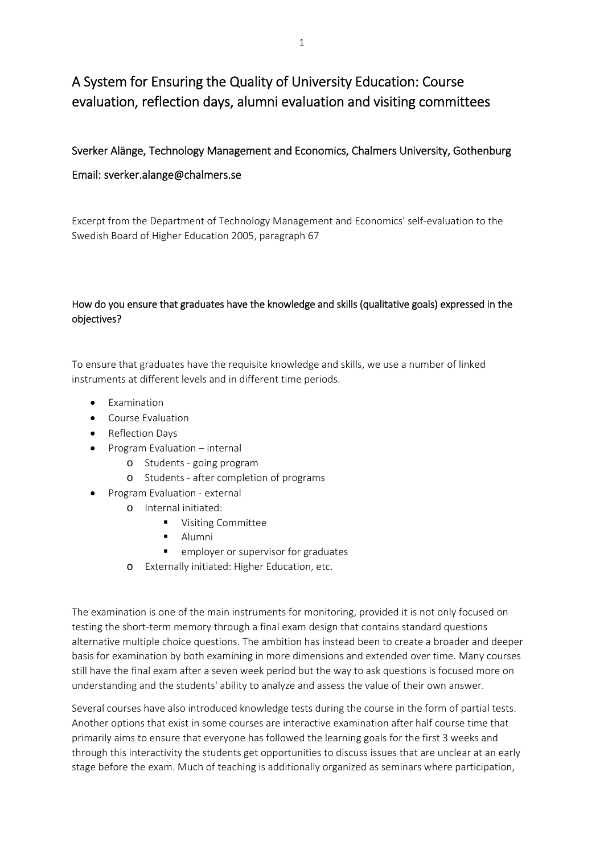# A System for Ensuring the Quality of University Education: Course evaluation, reflection days, alumni evaluation and visiting committees

## Sverker Alänge, Technology Management and Economics, Chalmers University, Gothenburg

### Email: sverker.alange@chalmers.se

Excerpt from the Department of Technology Management and Economics' self‐evaluation to the Swedish Board of Higher Education 2005, paragraph 67

#### How do you ensure that graduates have the knowledge and skills (qualitative goals) expressed in the objectives?

To ensure that graduates have the requisite knowledge and skills, we use a number of linked instruments at different levels and in different time periods.

- Examination
- Course Evaluation
- Reflection Days
- Program Evaluation internal
	- o Students ‐ going program
	- o Students ‐ after completion of programs
	- Program Evaluation ‐ external
		- o Internal initiated:
			- **•** Visiting Committee
			- **Alumni**
			- **E** employer or supervisor for graduates
		- o Externally initiated: Higher Education, etc.

The examination is one of the main instruments for monitoring, provided it is not only focused on testing the short-term memory through a final exam design that contains standard questions alternative multiple choice questions. The ambition has instead been to create a broader and deeper basis for examination by both examining in more dimensions and extended over time. Many courses still have the final exam after a seven week period but the way to ask questions is focused more on understanding and the students' ability to analyze and assess the value of their own answer.

Several courses have also introduced knowledge tests during the course in the form of partial tests. Another options that exist in some courses are interactive examination after half course time that primarily aims to ensure that everyone has followed the learning goals for the first 3 weeks and through this interactivity the students get opportunities to discuss issues that are unclear at an early stage before the exam. Much of teaching is additionally organized as seminars where participation,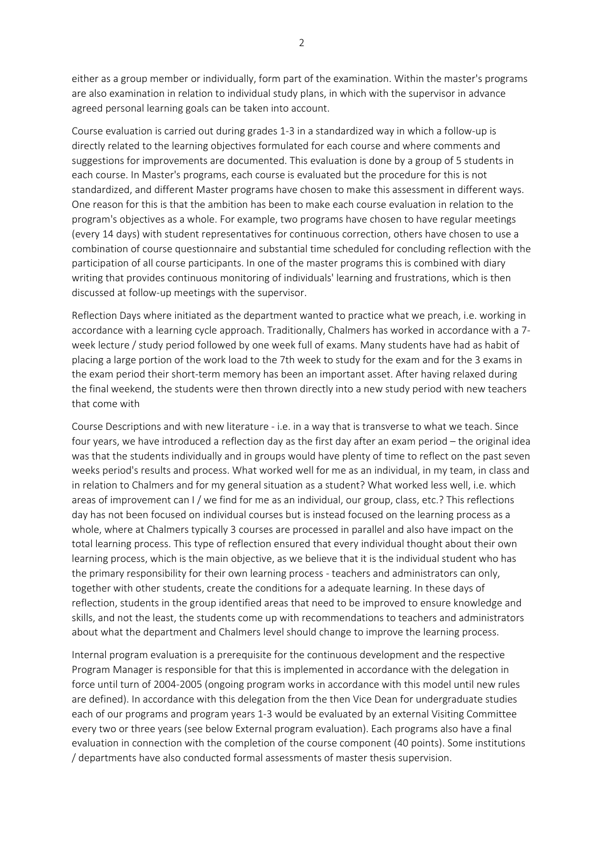either as a group member or individually, form part of the examination. Within the master's programs are also examination in relation to individual study plans, in which with the supervisor in advance agreed personal learning goals can be taken into account.

Course evaluation is carried out during grades 1‐3 in a standardized way in which a follow‐up is directly related to the learning objectives formulated for each course and where comments and suggestions for improvements are documented. This evaluation is done by a group of 5 students in each course. In Master's programs, each course is evaluated but the procedure for this is not standardized, and different Master programs have chosen to make this assessment in different ways. One reason for this is that the ambition has been to make each course evaluation in relation to the program's objectives as a whole. For example, two programs have chosen to have regular meetings (every 14 days) with student representatives for continuous correction, others have chosen to use a combination of course questionnaire and substantial time scheduled for concluding reflection with the participation of all course participants. In one of the master programs this is combined with diary writing that provides continuous monitoring of individuals' learning and frustrations, which is then discussed at follow‐up meetings with the supervisor.

Reflection Days where initiated as the department wanted to practice what we preach, i.e. working in accordance with a learning cycle approach. Traditionally, Chalmers has worked in accordance with a 7‐ week lecture / study period followed by one week full of exams. Many students have had as habit of placing a large portion of the work load to the 7th week to study for the exam and for the 3 exams in the exam period their short‐term memory has been an important asset. After having relaxed during the final weekend, the students were then thrown directly into a new study period with new teachers that come with

Course Descriptions and with new literature ‐ i.e. in a way that is transverse to what we teach. Since four years, we have introduced a reflection day as the first day after an exam period – the original idea was that the students individually and in groups would have plenty of time to reflect on the past seven weeks period's results and process. What worked well for me as an individual, in my team, in class and in relation to Chalmers and for my general situation as a student? What worked less well, i.e. which areas of improvement can I / we find for me as an individual, our group, class, etc.? This reflections day has not been focused on individual courses but is instead focused on the learning process as a whole, where at Chalmers typically 3 courses are processed in parallel and also have impact on the total learning process. This type of reflection ensured that every individual thought about their own learning process, which is the main objective, as we believe that it is the individual student who has the primary responsibility for their own learning process ‐ teachers and administrators can only, together with other students, create the conditions for a adequate learning. In these days of reflection, students in the group identified areas that need to be improved to ensure knowledge and skills, and not the least, the students come up with recommendations to teachers and administrators about what the department and Chalmers level should change to improve the learning process.

Internal program evaluation is a prerequisite for the continuous development and the respective Program Manager is responsible for that this is implemented in accordance with the delegation in force until turn of 2004‐2005 (ongoing program works in accordance with this model until new rules are defined). In accordance with this delegation from the then Vice Dean for undergraduate studies each of our programs and program years 1‐3 would be evaluated by an external Visiting Committee every two or three years (see below External program evaluation). Each programs also have a final evaluation in connection with the completion of the course component (40 points). Some institutions / departments have also conducted formal assessments of master thesis supervision.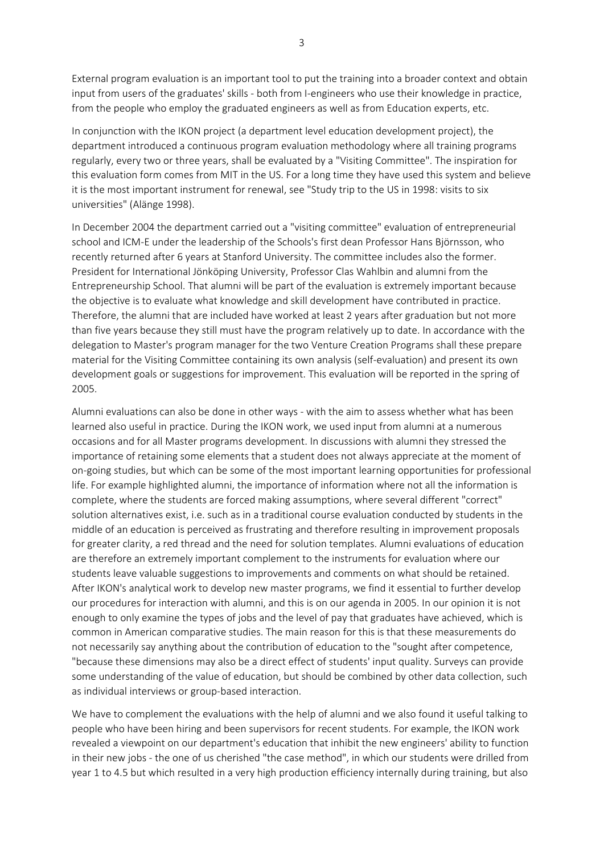External program evaluation is an important tool to put the training into a broader context and obtain input from users of the graduates' skills ‐ both from I‐engineers who use their knowledge in practice, from the people who employ the graduated engineers as well as from Education experts, etc.

In conjunction with the IKON project (a department level education development project), the department introduced a continuous program evaluation methodology where all training programs regularly, every two or three years, shall be evaluated by a "Visiting Committee". The inspiration for this evaluation form comes from MIT in the US. For a long time they have used this system and believe it is the most important instrument for renewal, see "Study trip to the US in 1998: visits to six universities" (Alänge 1998).

In December 2004 the department carried out a "visiting committee" evaluation of entrepreneurial school and ICM‐E under the leadership of the Schools's first dean Professor Hans Björnsson, who recently returned after 6 years at Stanford University. The committee includes also the former. President for International Jönköping University, Professor Clas Wahlbin and alumni from the Entrepreneurship School. That alumni will be part of the evaluation is extremely important because the objective is to evaluate what knowledge and skill development have contributed in practice. Therefore, the alumni that are included have worked at least 2 years after graduation but not more than five years because they still must have the program relatively up to date. In accordance with the delegation to Master's program manager for the two Venture Creation Programs shall these prepare material for the Visiting Committee containing its own analysis (self‐evaluation) and present its own development goals or suggestions for improvement. This evaluation will be reported in the spring of 2005.

Alumni evaluations can also be done in other ways ‐ with the aim to assess whether what has been learned also useful in practice. During the IKON work, we used input from alumni at a numerous occasions and for all Master programs development. In discussions with alumni they stressed the importance of retaining some elements that a student does not always appreciate at the moment of on‐going studies, but which can be some of the most important learning opportunities for professional life. For example highlighted alumni, the importance of information where not all the information is complete, where the students are forced making assumptions, where several different "correct" solution alternatives exist, i.e. such as in a traditional course evaluation conducted by students in the middle of an education is perceived as frustrating and therefore resulting in improvement proposals for greater clarity, a red thread and the need for solution templates. Alumni evaluations of education are therefore an extremely important complement to the instruments for evaluation where our students leave valuable suggestions to improvements and comments on what should be retained. After IKON's analytical work to develop new master programs, we find it essential to further develop our procedures for interaction with alumni, and this is on our agenda in 2005. In our opinion it is not enough to only examine the types of jobs and the level of pay that graduates have achieved, which is common in American comparative studies. The main reason for this is that these measurements do not necessarily say anything about the contribution of education to the "sought after competence, "because these dimensions may also be a direct effect of students' input quality. Surveys can provide some understanding of the value of education, but should be combined by other data collection, such as individual interviews or group‐based interaction.

We have to complement the evaluations with the help of alumni and we also found it useful talking to people who have been hiring and been supervisors for recent students. For example, the IKON work revealed a viewpoint on our department's education that inhibit the new engineers' ability to function in their new jobs ‐ the one of us cherished "the case method", in which our students were drilled from year 1 to 4.5 but which resulted in a very high production efficiency internally during training, but also